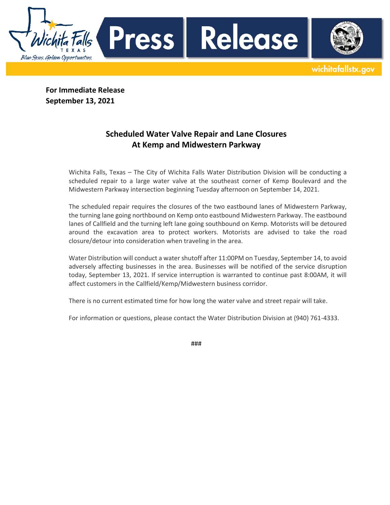**For Immediate Release September 13, 2021** 

Blue Skies. Golden Opportunities.

Press |

## **Scheduled Water Valve Repair and Lane Closures At Kemp and Midwestern Parkway**

Wichita Falls, Texas – The City of Wichita Falls Water Distribution Division will be conducting a scheduled repair to a large water valve at the southeast corner of Kemp Boulevard and the Midwestern Parkway intersection beginning Tuesday afternoon on September 14, 2021.

Release

wichitafallstx.gov

The scheduled repair requires the closures of the two eastbound lanes of Midwestern Parkway, the turning lane going northbound on Kemp onto eastbound Midwestern Parkway. The eastbound lanes of Callfield and the turning left lane going southbound on Kemp. Motorists will be detoured around the excavation area to protect workers. Motorists are advised to take the road closure/detour into consideration when traveling in the area.

Water Distribution will conduct a water shutoff after 11:00PM on Tuesday, September 14, to avoid adversely affecting businesses in the area. Businesses will be notified of the service disruption today, September 13, 2021. If service interruption is warranted to continue past 8:00AM, it will affect customers in the Callfield/Kemp/Midwestern business corridor.

There is no current estimated time for how long the water valve and street repair will take.

For information or questions, please contact the Water Distribution Division at (940) 761-4333.

###